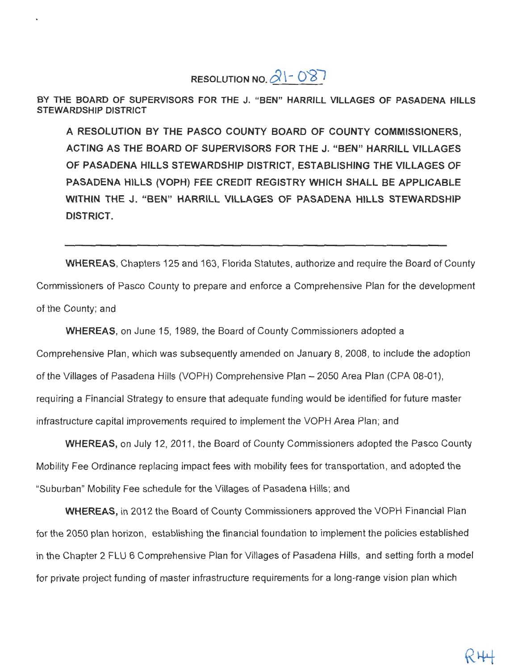RESOLUTION NO.  $21 - 087$ 

BY THE BOARD OF SUPERVISORS FOR THE J. "BEN" HARRILL VILLAGES OF PASADENA HILLS **STEWARDSHIP DISTRICT** 

A RESOLUTION BY THE PASCO COUNTY BOARD OF COUNTY COMMISSIONERS. ACTING AS THE BOARD OF SUPERVISORS FOR THE J. "BEN" HARRILL VILLAGES OF PASADENA HILLS STEWARDSHIP DISTRICT, ESTABLISHING THE VILLAGES OF PASADENA HILLS (VOPH) FEE CREDIT REGISTRY WHICH SHALL BE APPLICABLE WITHIN THE J. "BEN" HARRILL VILLAGES OF PASADENA HILLS STEWARDSHIP **DISTRICT.** 

**WHEREAS.** Chapters 125 and 163, Florida Statutes, authorize and require the Board of County Commissioners of Pasco County to prepare and enforce a Comprehensive Plan for the development of the County; and

**WHEREAS**, on June 15, 1989, the Board of County Commissioners adopted a Comprehensive Plan, which was subsequently amended on January 8, 2008, to include the adoption of the Villages of Pasadena Hills (VOPH) Comprehensive Plan - 2050 Area Plan (CPA 08-01), requiring a Financial Strategy to ensure that adequate funding would be identified for future master infrastructure capital improvements required to implement the VOPH Area Plan; and

WHEREAS, on July 12, 2011, the Board of County Commissioners adopted the Pasco County Mobility Fee Ordinance replacing impact fees with mobility fees for transportation, and adopted the "Suburban" Mobility Fee schedule for the Villages of Pasadena Hills; and

WHEREAS, in 2012 the Board of County Commissioners approved the VOPH Financial Plan for the 2050 plan horizon, establishing the financial foundation to implement the policies established in the Chapter 2 FLU 6 Comprehensive Plan for Villages of Pasadena Hills, and setting forth a model for private project funding of master infrastructure requirements for a long-range vision plan which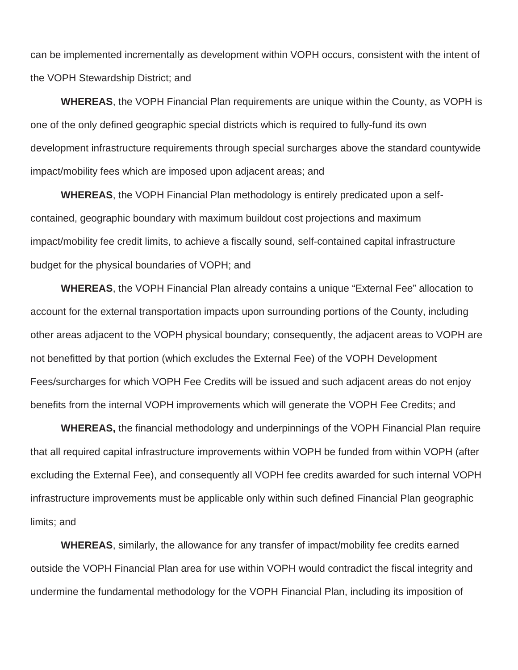can be implemented incrementally as development within VOPH occurs, consistent with the intent of the VOPH Stewardship District; and

**WHEREAS**, the VOPH Financial Plan requirements are unique within the County, as VOPH is one of the only defined geographic special districts which is required to fully-fund its own development infrastructure requirements through special surcharges above the standard countywide impact/mobility fees which are imposed upon adjacent areas; and

**WHEREAS**, the VOPH Financial Plan methodology is entirely predicated upon a selfcontained, geographic boundary with maximum buildout cost projections and maximum impact/mobility fee credit limits, to achieve a fiscally sound, self-contained capital infrastructure budget for the physical boundaries of VOPH; and

**WHEREAS**, the VOPH Financial Plan already contains a unique "External Fee" allocation to account for the external transportation impacts upon surrounding portions of the County, including other areas adjacent to the VOPH physical boundary; consequently, the adjacent areas to VOPH are not benefitted by that portion (which excludes the External Fee) of the VOPH Development Fees/surcharges for which VOPH Fee Credits will be issued and such adjacent areas do not enjoy benefits from the internal VOPH improvements which will generate the VOPH Fee Credits; and

**WHEREAS,** the financial methodology and underpinnings of the VOPH Financial Plan require that all required capital infrastructure improvements within VOPH be funded from within VOPH (after excluding the External Fee), and consequently all VOPH fee credits awarded for such internal VOPH infrastructure improvements must be applicable only within such defined Financial Plan geographic limits; and

**WHEREAS**, similarly, the allowance for any transfer of impact/mobility fee credits earned outside the VOPH Financial Plan area for use within VOPH would contradict the fiscal integrity and undermine the fundamental methodology for the VOPH Financial Plan, including its imposition of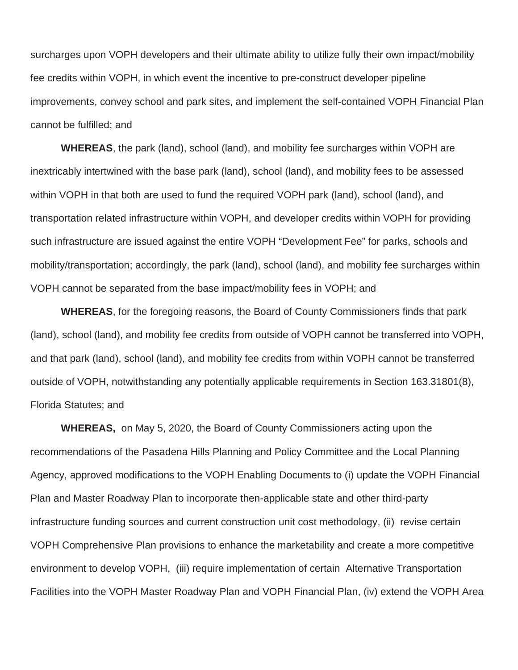surcharges upon VOPH developers and their ultimate ability to utilize fully their own impact/mobility fee credits within VOPH, in which event the incentive to pre-construct developer pipeline improvements, convey school and park sites, and implement the self-contained VOPH Financial Plan cannot be fulfilled; and

**WHEREAS**, the park (land), school (land), and mobility fee surcharges within VOPH are inextricably intertwined with the base park (land), school (land), and mobility fees to be assessed within VOPH in that both are used to fund the required VOPH park (land), school (land), and transportation related infrastructure within VOPH, and developer credits within VOPH for providing such infrastructure are issued against the entire VOPH "Development Fee" for parks, schools and mobility/transportation; accordingly, the park (land), school (land), and mobility fee surcharges within VOPH cannot be separated from the base impact/mobility fees in VOPH; and

**WHEREAS**, for the foregoing reasons, the Board of County Commissioners finds that park (land), school (land), and mobility fee credits from outside of VOPH cannot be transferred into VOPH, and that park (land), school (land), and mobility fee credits from within VOPH cannot be transferred outside of VOPH, notwithstanding any potentially applicable requirements in Section 163.31801(8), Florida Statutes; and

**WHEREAS,** on May 5, 2020, the Board of County Commissioners acting upon the recommendations of the Pasadena Hills Planning and Policy Committee and the Local Planning Agency, approved modifications to the VOPH Enabling Documents to (i) update the VOPH Financial Plan and Master Roadway Plan to incorporate then-applicable state and other third-party infrastructure funding sources and current construction unit cost methodology, (ii) revise certain VOPH Comprehensive Plan provisions to enhance the marketability and create a more competitive environment to develop VOPH, (iii) require implementation of certain Alternative Transportation Facilities into the VOPH Master Roadway Plan and VOPH Financial Plan, (iv) extend the VOPH Area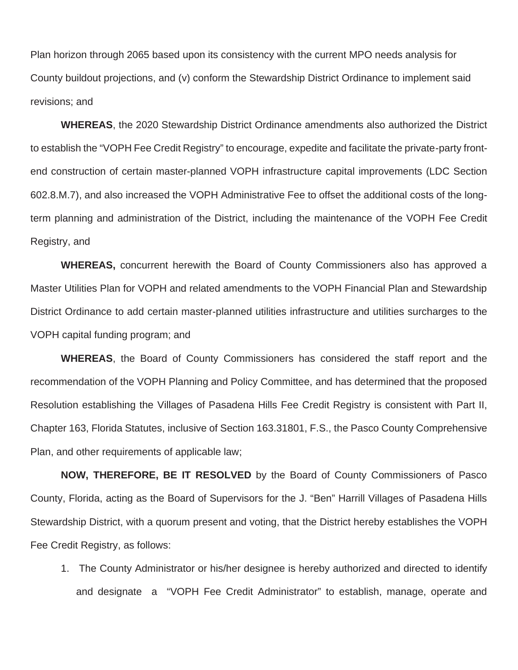Plan horizon through 2065 based upon its consistency with the current MPO needs analysis for County buildout projections, and (v) conform the Stewardship District Ordinance to implement said revisions; and

**WHEREAS**, the 2020 Stewardship District Ordinance amendments also authorized the District to establish the "VOPH Fee Credit Registry" to encourage, expedite and facilitate the private-party frontend construction of certain master-planned VOPH infrastructure capital improvements (LDC Section 602.8.M.7), and also increased the VOPH Administrative Fee to offset the additional costs of the longterm planning and administration of the District, including the maintenance of the VOPH Fee Credit Registry, and

**WHEREAS,** concurrent herewith the Board of County Commissioners also has approved a Master Utilities Plan for VOPH and related amendments to the VOPH Financial Plan and Stewardship District Ordinance to add certain master-planned utilities infrastructure and utilities surcharges to the VOPH capital funding program; and

**WHEREAS**, the Board of County Commissioners has considered the staff report and the recommendation of the VOPH Planning and Policy Committee, and has determined that the proposed Resolution establishing the Villages of Pasadena Hills Fee Credit Registry is consistent with Part II, Chapter 163, Florida Statutes, inclusive of Section 163.31801, F.S., the Pasco County Comprehensive Plan, and other requirements of applicable law;

**NOW, THEREFORE, BE IT RESOLVED** by the Board of County Commissioners of Pasco County, Florida, acting as the Board of Supervisors for the J. "Ben" Harrill Villages of Pasadena Hills Stewardship District, with a quorum present and voting, that the District hereby establishes the VOPH Fee Credit Registry, as follows:

1. The County Administrator or his/her designee is hereby authorized and directed to identify and designate a "VOPH Fee Credit Administrator" to establish, manage, operate and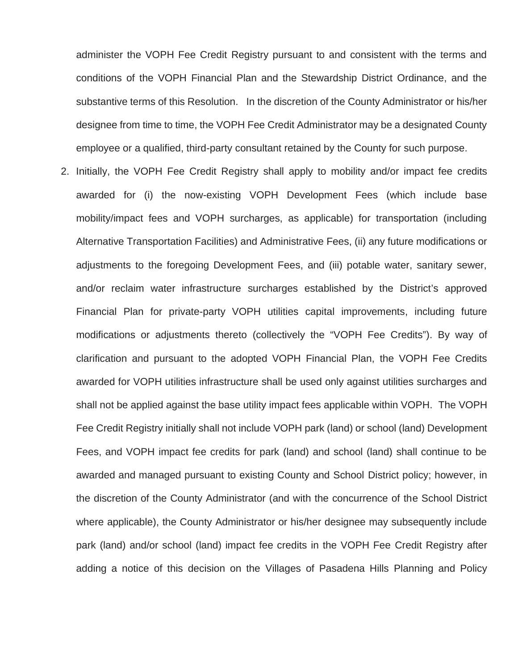administer the VOPH Fee Credit Registry pursuant to and consistent with the terms and conditions of the VOPH Financial Plan and the Stewardship District Ordinance, and the substantive terms of this Resolution. In the discretion of the County Administrator or his/her designee from time to time, the VOPH Fee Credit Administrator may be a designated County employee or a qualified, third-party consultant retained by the County for such purpose.

2. Initially, the VOPH Fee Credit Registry shall apply to mobility and/or impact fee credits awarded for (i) the now-existing VOPH Development Fees (which include base mobility/impact fees and VOPH surcharges, as applicable) for transportation (including Alternative Transportation Facilities) and Administrative Fees, (ii) any future modifications or adjustments to the foregoing Development Fees, and (iii) potable water, sanitary sewer, and/or reclaim water infrastructure surcharges established by the District's approved Financial Plan for private-party VOPH utilities capital improvements, including future modifications or adjustments thereto (collectively the "VOPH Fee Credits"). By way of clarification and pursuant to the adopted VOPH Financial Plan, the VOPH Fee Credits awarded for VOPH utilities infrastructure shall be used only against utilities surcharges and shall not be applied against the base utility impact fees applicable within VOPH. The VOPH Fee Credit Registry initially shall not include VOPH park (land) or school (land) Development Fees, and VOPH impact fee credits for park (land) and school (land) shall continue to be awarded and managed pursuant to existing County and School District policy; however, in the discretion of the County Administrator (and with the concurrence of the School District where applicable), the County Administrator or his/her designee may subsequently include park (land) and/or school (land) impact fee credits in the VOPH Fee Credit Registry after adding a notice of this decision on the Villages of Pasadena Hills Planning and Policy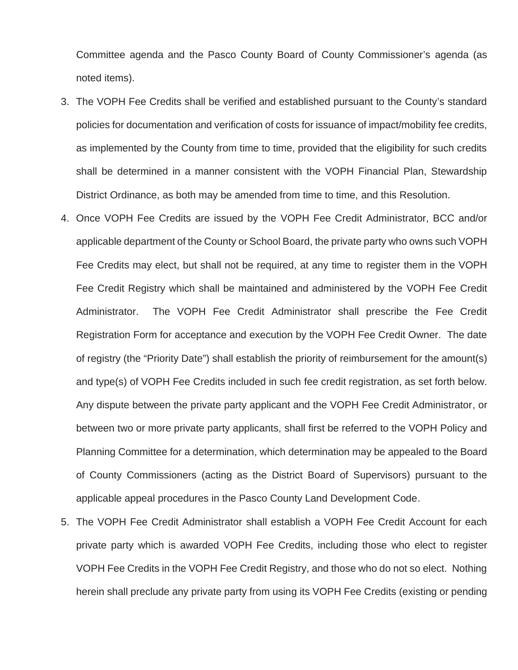Committee agenda and the Pasco County Board of County Commissioner's agenda (as noted items).

- 3. The VOPH Fee Credits shall be verified and established pursuant to the County's standard policies for documentation and verification of costs for issuance of impact/mobility fee credits, as implemented by the County from time to time, provided that the eligibility for such credits shall be determined in a manner consistent with the VOPH Financial Plan, Stewardship District Ordinance, as both may be amended from time to time, and this Resolution.
- 4. Once VOPH Fee Credits are issued by the VOPH Fee Credit Administrator, BCC and/or applicable department of the County or School Board, the private party who owns such VOPH Fee Credits may elect, but shall not be required, at any time to register them in the VOPH Fee Credit Registry which shall be maintained and administered by the VOPH Fee Credit Administrator. The VOPH Fee Credit Administrator shall prescribe the Fee Credit Registration Form for acceptance and execution by the VOPH Fee Credit Owner. The date of registry (the "Priority Date") shall establish the priority of reimbursement for the amount(s) and type(s) of VOPH Fee Credits included in such fee credit registration, as set forth below. Any dispute between the private party applicant and the VOPH Fee Credit Administrator, or between two or more private party applicants, shall first be referred to the VOPH Policy and Planning Committee for a determination, which determination may be appealed to the Board of County Commissioners (acting as the District Board of Supervisors) pursuant to the applicable appeal procedures in the Pasco County Land Development Code.
- 5. The VOPH Fee Credit Administrator shall establish a VOPH Fee Credit Account for each private party which is awarded VOPH Fee Credits, including those who elect to register VOPH Fee Credits in the VOPH Fee Credit Registry, and those who do not so elect. Nothing herein shall preclude any private party from using its VOPH Fee Credits (existing or pending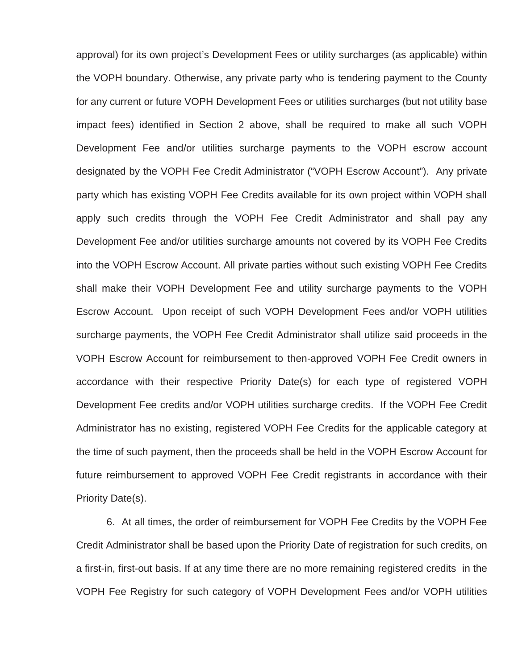approval) for its own project's Development Fees or utility surcharges (as applicable) within the VOPH boundary. Otherwise, any private party who is tendering payment to the County for any current or future VOPH Development Fees or utilities surcharges (but not utility base impact fees) identified in Section 2 above, shall be required to make all such VOPH Development Fee and/or utilities surcharge payments to the VOPH escrow account designated by the VOPH Fee Credit Administrator ("VOPH Escrow Account"). Any private party which has existing VOPH Fee Credits available for its own project within VOPH shall apply such credits through the VOPH Fee Credit Administrator and shall pay any Development Fee and/or utilities surcharge amounts not covered by its VOPH Fee Credits into the VOPH Escrow Account. All private parties without such existing VOPH Fee Credits shall make their VOPH Development Fee and utility surcharge payments to the VOPH Escrow Account. Upon receipt of such VOPH Development Fees and/or VOPH utilities surcharge payments, the VOPH Fee Credit Administrator shall utilize said proceeds in the VOPH Escrow Account for reimbursement to then-approved VOPH Fee Credit owners in accordance with their respective Priority Date(s) for each type of registered VOPH Development Fee credits and/or VOPH utilities surcharge credits. If the VOPH Fee Credit Administrator has no existing, registered VOPH Fee Credits for the applicable category at the time of such payment, then the proceeds shall be held in the VOPH Escrow Account for future reimbursement to approved VOPH Fee Credit registrants in accordance with their Priority Date(s).

6. At all times, the order of reimbursement for VOPH Fee Credits by the VOPH Fee Credit Administrator shall be based upon the Priority Date of registration for such credits, on a first-in, first-out basis. If at any time there are no more remaining registered credits in the VOPH Fee Registry for such category of VOPH Development Fees and/or VOPH utilities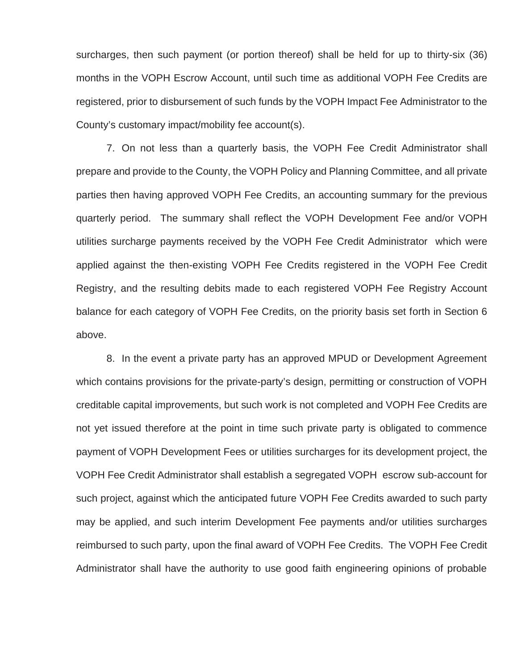surcharges, then such payment (or portion thereof) shall be held for up to thirty-six (36) months in the VOPH Escrow Account, until such time as additional VOPH Fee Credits are registered, prior to disbursement of such funds by the VOPH Impact Fee Administrator to the County's customary impact/mobility fee account(s).

7. On not less than a quarterly basis, the VOPH Fee Credit Administrator shall prepare and provide to the County, the VOPH Policy and Planning Committee, and all private parties then having approved VOPH Fee Credits, an accounting summary for the previous quarterly period. The summary shall reflect the VOPH Development Fee and/or VOPH utilities surcharge payments received by the VOPH Fee Credit Administrator which were applied against the then-existing VOPH Fee Credits registered in the VOPH Fee Credit Registry, and the resulting debits made to each registered VOPH Fee Registry Account balance for each category of VOPH Fee Credits, on the priority basis set forth in Section 6 above.

8. In the event a private party has an approved MPUD or Development Agreement which contains provisions for the private-party's design, permitting or construction of VOPH creditable capital improvements, but such work is not completed and VOPH Fee Credits are not yet issued therefore at the point in time such private party is obligated to commence payment of VOPH Development Fees or utilities surcharges for its development project, the VOPH Fee Credit Administrator shall establish a segregated VOPH escrow sub-account for such project, against which the anticipated future VOPH Fee Credits awarded to such party may be applied, and such interim Development Fee payments and/or utilities surcharges reimbursed to such party, upon the final award of VOPH Fee Credits. The VOPH Fee Credit Administrator shall have the authority to use good faith engineering opinions of probable